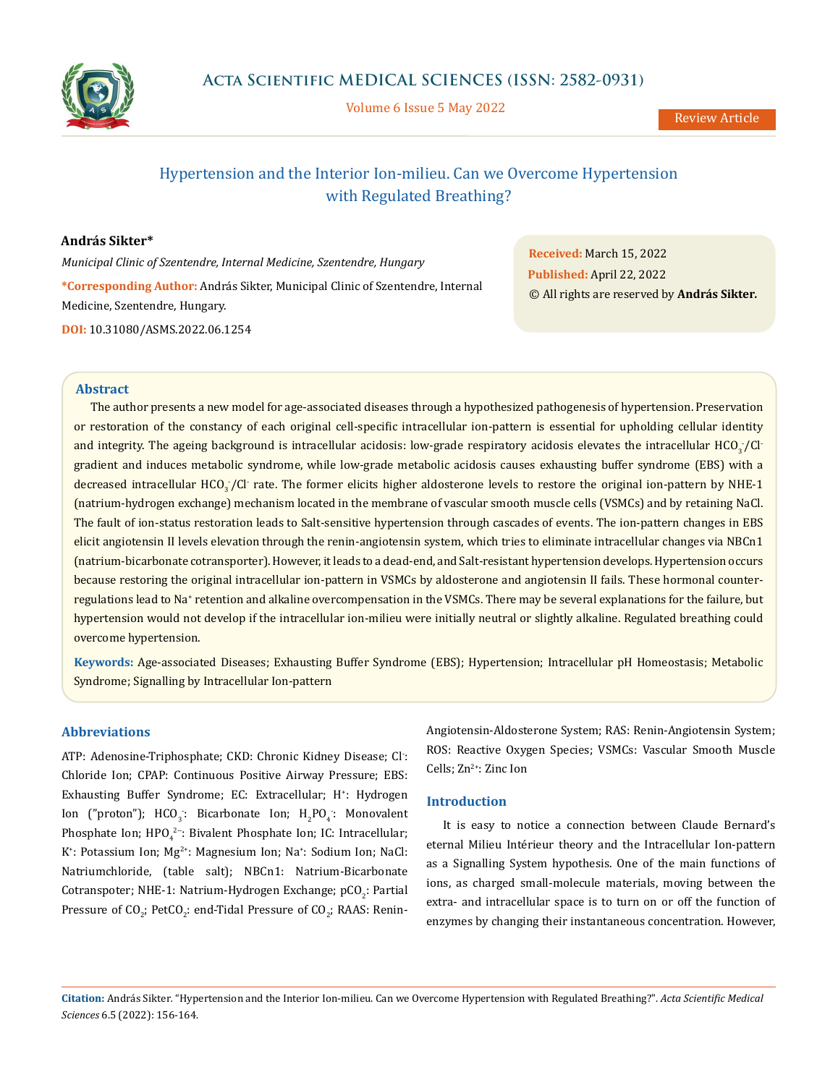

Volume 6 Issue 5 May 2022

# Hypertension and the Interior Ion-milieu. Can we Overcome Hypertension with Regulated Breathing?

# **András Sikter\***

*Municipal Clinic of Szentendre, Internal Medicine, Szentendre, Hungary*

**\*Corresponding Author:** András Sikter, Municipal Clinic of Szentendre, Internal Medicine, Szentendre, Hungary.

**DOI:** [10.31080/ASMS.2022.06.1254](http://actascientific.com/ASMS/pdf/ASMS-06-1254.pdf)

**Received:** March 15, 2022 **Published:** April 22, 2022 © All rights are reserved by **András Sikter***.*

# **Abstract**

The author presents a new model for age-associated diseases through a hypothesized pathogenesis of hypertension. Preservation or restoration of the constancy of each original cell-specific intracellular ion-pattern is essential for upholding cellular identity and integrity. The ageing background is intracellular acidosis: low-grade respiratory acidosis elevates the intracellular HCO $_3^{}\prime$ Cl<sup>.</sup> gradient and induces metabolic syndrome, while low-grade metabolic acidosis causes exhausting buffer syndrome (EBS) with a decreased intracellular HCO $_{3}$ /Cl<sup>-</sup>rate. The former elicits higher aldosterone levels to restore the original ion-pattern by NHE-1 (natrium-hydrogen exchange) mechanism located in the membrane of vascular smooth muscle cells (VSMCs) and by retaining NaCl. The fault of ion-status restoration leads to Salt-sensitive hypertension through cascades of events. The ion-pattern changes in EBS elicit angiotensin II levels elevation through the renin-angiotensin system, which tries to eliminate intracellular changes via NBCn1 (natrium-bicarbonate cotransporter). However, it leads to a dead-end, and Salt-resistant hypertension develops. Hypertension occurs because restoring the original intracellular ion-pattern in VSMCs by aldosterone and angiotensin II fails. These hormonal counterregulations lead to Na† retention and alkaline overcompensation in the VSMCs. There may be several explanations for the failure, but hypertension would not develop if the intracellular ion-milieu were initially neutral or slightly alkaline. Regulated breathing could overcome hypertension.

**Keywords:** Age-associated Diseases; Exhausting Buffer Syndrome (EBS); Hypertension; Intracellular pH Homeostasis; Metabolic Syndrome; Signalling by Intracellular Ion-pattern

# **Abbreviations**

ATP: Adenosine-Triphosphate; CKD: Chronic Kidney Disease; Cl- : Chloride Ion; CPAP: Continuous Positive Airway Pressure; EBS: Exhausting Buffer Syndrome; EC: Extracellular; H<sup>+</sup>: Hydrogen Ion ("proton");  $HCO_3$ : Bicarbonate Ion;  $H_2PO_4$ : Monovalent Phosphate Ion;  $\text{HPO}_4^{2-}$ : Bivalent Phosphate Ion; IC: Intracellular; K<sup>+</sup>: Potassium Ion; Mg<sup>2+</sup>: Magnesium Ion; Na<sup>+</sup>: Sodium Ion; NaCl: Natriumchloride, (table salt); NBCn1: Natrium-Bicarbonate Cotranspoter; NHE-1: Natrium-Hydrogen Exchange; pCO<sub>2</sub>: Partial Pressure of  $CO_{2}$ ; PetCO<sub>2</sub>: end-Tidal Pressure of CO<sub>2</sub>; RAAS: ReninAngiotensin-Aldosterone System; RAS: Renin-Angiotensin System; ROS: Reactive Oxygen Species; VSMCs: Vascular Smooth Muscle Cells; Zn<sup>2+</sup>: Zinc Ion

# **Introduction**

It is easy to notice a connection between Claude Bernard's eternal Milieu Intérieur theory and the Intracellular Ion-pattern as a Signalling System hypothesis. One of the main functions of ions, as charged small-molecule materials, moving between the extra- and intracellular space is to turn on or off the function of enzymes by changing their instantaneous concentration. However,

**Citation:** András Sikter*.* "Hypertension and the Interior Ion-milieu. Can we Overcome Hypertension with Regulated Breathing?". *Acta Scientific Medical Sciences* 6.5 (2022): 156-164.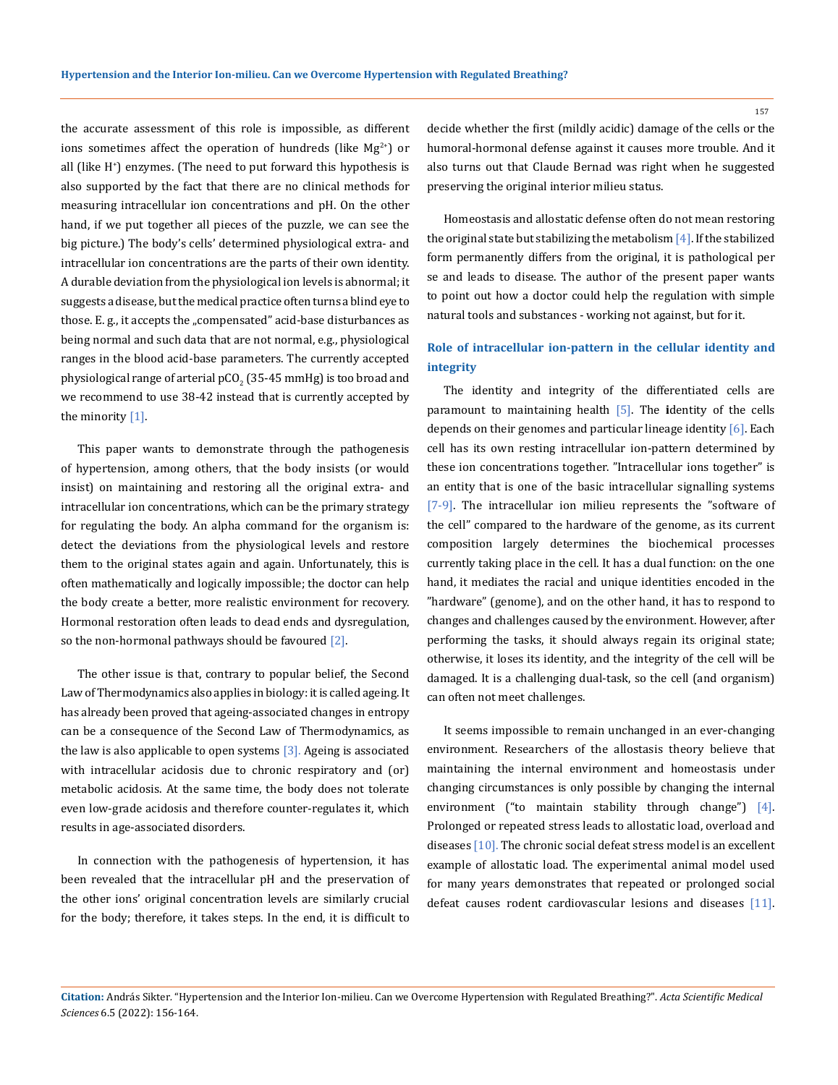the accurate assessment of this role is impossible, as different ions sometimes affect the operation of hundreds (like  $Mg^{2+}$ ) or all (like H+ ) enzymes. (The need to put forward this hypothesis is also supported by the fact that there are no clinical methods for measuring intracellular ion concentrations and pH. On the other hand, if we put together all pieces of the puzzle, we can see the big picture.) The body's cells' determined physiological extra- and intracellular ion concentrations are the parts of their own identity. A durable deviation from the physiological ion levels is abnormal; it suggests a disease, but the medical practice often turns a blind eye to those. E. g., it accepts the "compensated" acid-base disturbances as being normal and such data that are not normal, e.g., physiological ranges in the blood acid-base parameters. The currently accepted physiological range of arterial pCO $_2$  (35-45 mmHg) is too broad and we recommend to use 38-42 instead that is currently accepted by the minority [1].

This paper wants to demonstrate through the pathogenesis of hypertension, among others, that the body insists (or would insist) on maintaining and restoring all the original extra- and intracellular ion concentrations, which can be the primary strategy for regulating the body. An alpha command for the organism is: detect the deviations from the physiological levels and restore them to the original states again and again. Unfortunately, this is often mathematically and logically impossible; the doctor can help the body create a better, more realistic environment for recovery. Hormonal restoration often leads to dead ends and dysregulation, so the non-hormonal pathways should be favoured  $[2]$ .

The other issue is that, contrary to popular belief, the Second Law of Thermodynamics also applies in biology: it is called ageing. It has already been proved that ageing-associated changes in entropy can be a consequence of the Second Law of Thermodynamics, as the law is also applicable to open systems  $[3]$ . Ageing is associated with intracellular acidosis due to chronic respiratory and (or) metabolic acidosis. At the same time, the body does not tolerate even low-grade acidosis and therefore counter-regulates it, which results in age-associated disorders.

In connection with the pathogenesis of hypertension, it has been revealed that the intracellular pH and the preservation of the other ions' original concentration levels are similarly crucial for the body; therefore, it takes steps. In the end, it is difficult to

decide whether the first (mildly acidic) damage of the cells or the humoral-hormonal defense against it causes more trouble. And it also turns out that Claude Bernad was right when he suggested preserving the original interior milieu status.

Homeostasis and allostatic defense often do not mean restoring the original state but stabilizing the metabolism  $[4]$ . If the stabilized form permanently differs from the original, it is pathological per se and leads to disease. The author of the present paper wants to point out how a doctor could help the regulation with simple natural tools and substances - working not against, but for it.

# **Role of intracellular ion-pattern in the cellular identity and integrity**

The identity and integrity of the differentiated cells are paramount to maintaining health [5]. The **i**dentity of the cells depends on their genomes and particular lineage identity [6]. Each cell has its own resting intracellular ion-pattern determined by these ion concentrations together. "Intracellular ions together" is an entity that is one of the basic intracellular signalling systems [7-9]. The intracellular ion milieu represents the "software of the cell" compared to the hardware of the genome, as its current composition largely determines the biochemical processes currently taking place in the cell. It has a dual function: on the one hand, it mediates the racial and unique identities encoded in the "hardware" (genome), and on the other hand, it has to respond to changes and challenges caused by the environment. However, after performing the tasks, it should always regain its original state; otherwise, it loses its identity, and the integrity of the cell will be damaged. It is a challenging dual-task, so the cell (and organism) can often not meet challenges.

It seems impossible to remain unchanged in an ever-changing environment. Researchers of the allostasis theory believe that maintaining the internal environment and homeostasis under changing circumstances is only possible by changing the internal environment ("to maintain stability through change") [4]. Prolonged or repeated stress leads to allostatic load, overload and diseases [10]. The chronic social defeat stress model is an excellent example of allostatic load. The experimental animal model used for many years demonstrates that repeated or prolonged social defeat causes rodent cardiovascular lesions and diseases [11].

**Citation:** András Sikter*.* "Hypertension and the Interior Ion-milieu. Can we Overcome Hypertension with Regulated Breathing?". *Acta Scientific Medical Sciences* 6.5 (2022): 156-164.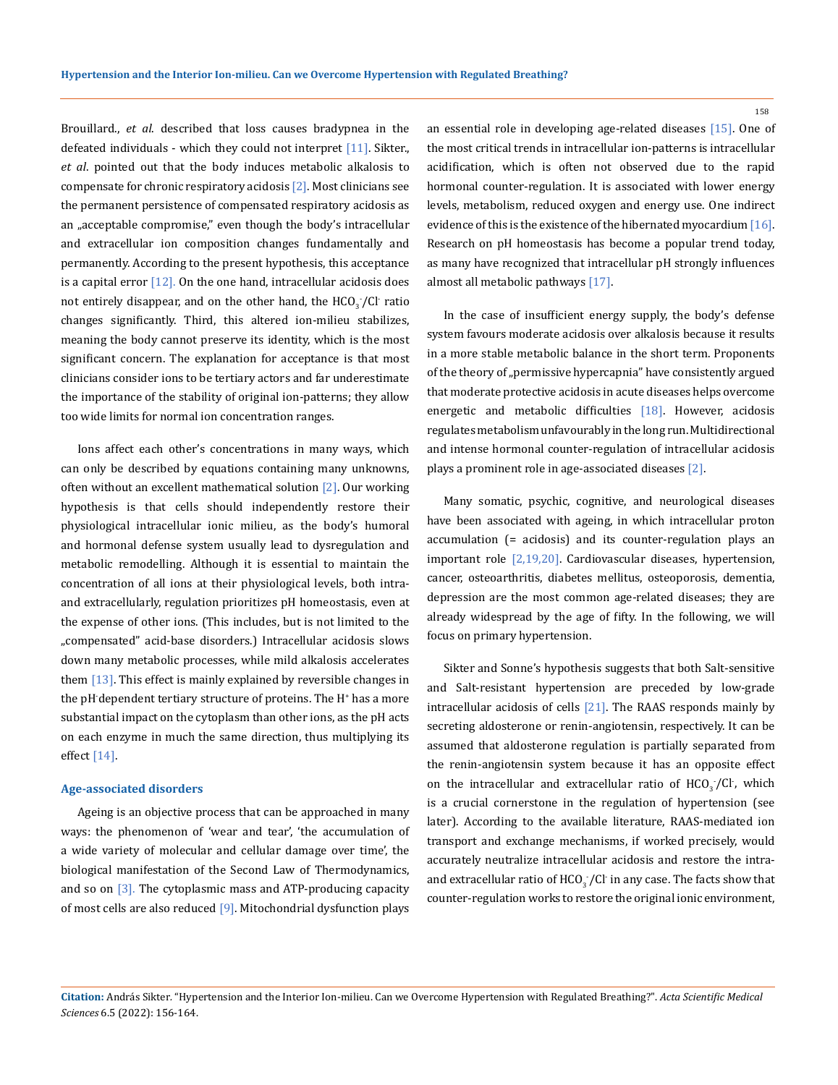Brouillard., *et al*. described that loss causes bradypnea in the defeated individuals - which they could not interpret  $[11]$ . Sikter. *et al*. pointed out that the body induces metabolic alkalosis to compensate for chronic respiratory acidosis [2]. Most clinicians see the permanent persistence of compensated respiratory acidosis as an "acceptable compromise," even though the body's intracellular and extracellular ion composition changes fundamentally and permanently. According to the present hypothesis, this acceptance is a capital error  $[12]$ . On the one hand, intracellular acidosis does not entirely disappear, and on the other hand, the  $HCO_{3}/Cl$  ratio changes significantly. Third, this altered ion-milieu stabilizes, meaning the body cannot preserve its identity, which is the most significant concern. The explanation for acceptance is that most clinicians consider ions to be tertiary actors and far underestimate the importance of the stability of original ion-patterns; they allow too wide limits for normal ion concentration ranges.

Ions affect each other's concentrations in many ways, which can only be described by equations containing many unknowns, often without an excellent mathematical solution [2]. Our working hypothesis is that cells should independently restore their physiological intracellular ionic milieu, as the body's humoral and hormonal defense system usually lead to dysregulation and metabolic remodelling. Although it is essential to maintain the concentration of all ions at their physiological levels, both intraand extracellularly, regulation prioritizes pH homeostasis, even at the expense of other ions. (This includes, but is not limited to the "compensated" acid-base disorders.) Intracellular acidosis slows down many metabolic processes, while mild alkalosis accelerates them  $[13]$ . This effect is mainly explained by reversible changes in the pH-dependent tertiary structure of proteins. The H<sup>+</sup> has a more substantial impact on the cytoplasm than other ions, as the pH acts on each enzyme in much the same direction, thus multiplying its effect [14].

#### **Age-associated disorders**

Ageing is an objective process that can be approached in many ways: the phenomenon of 'wear and tear', 'the accumulation of a wide variety of molecular and cellular damage over time', the biological manifestation of the Second Law of Thermodynamics, and so on  $\left[3\right]$ . The cytoplasmic mass and ATP-producing capacity of most cells are also reduced [9]. Mitochondrial dysfunction plays

an essential role in developing age-related diseases [15]. One of the most critical trends in intracellular ion-patterns is intracellular acidification, which is often not observed due to the rapid hormonal counter-regulation. It is associated with lower energy levels, metabolism, reduced oxygen and energy use. One indirect evidence of this is the existence of the hibernated myocardium [16]. Research on pH homeostasis has become a popular trend today, as many have recognized that intracellular pH strongly influences almost all metabolic pathways [17].

In the case of insufficient energy supply, the body's defense system favours moderate acidosis over alkalosis because it results in a more stable metabolic balance in the short term. Proponents of the theory of "permissive hypercapnia" have consistently argued that moderate protective acidosis in acute diseases helps overcome energetic and metabolic difficulties [18]. However, acidosis regulates metabolism unfavourably in the long run. Multidirectional and intense hormonal counter-regulation of intracellular acidosis plays a prominent role in age-associated diseases [2].

Many somatic, psychic, cognitive, and neurological diseases have been associated with ageing, in which intracellular proton accumulation (= acidosis) and its counter-regulation plays an important role [2,19,20]. Cardiovascular diseases, hypertension, cancer, osteoarthritis, diabetes mellitus, osteoporosis, dementia, depression are the most common age-related diseases; they are already widespread by the age of fifty. In the following, we will focus on primary hypertension.

Sikter and Sonne's hypothesis suggests that both Salt-sensitive and Salt-resistant hypertension are preceded by low-grade intracellular acidosis of cells [21]. The RAAS responds mainly by secreting aldosterone or renin-angiotensin, respectively. It can be assumed that aldosterone regulation is partially separated from the renin-angiotensin system because it has an opposite effect on the intracellular and extracellular ratio of  $HCO_{3}/Cl$ , which is a crucial cornerstone in the regulation of hypertension (see later). According to the available literature, RAAS-mediated ion transport and exchange mechanisms, if worked precisely, would accurately neutralize intracellular acidosis and restore the intraand extracellular ratio of HCO $_3^{\cdot}/$ Cl $\cdot$  in any case. The facts show that counter-regulation works to restore the original ionic environment,

**Citation:** András Sikter*.* "Hypertension and the Interior Ion-milieu. Can we Overcome Hypertension with Regulated Breathing?". *Acta Scientific Medical Sciences* 6.5 (2022): 156-164.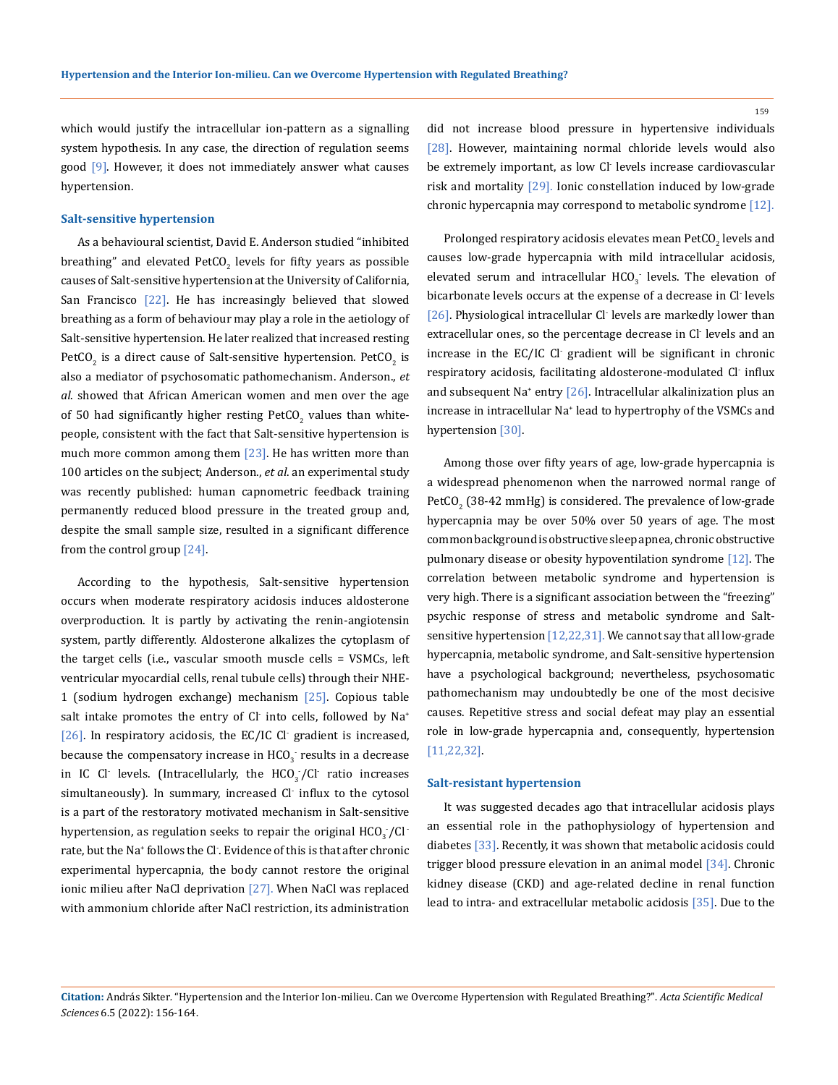which would justify the intracellular ion-pattern as a signalling system hypothesis. In any case, the direction of regulation seems good [9]. However, it does not immediately answer what causes hypertension.

#### **Salt-sensitive hypertension**

As a behavioural scientist, David E. Anderson studied "inhibited breathing" and elevated  $PetCO<sub>2</sub>$  levels for fifty years as possible causes of Salt-sensitive hypertension at the University of California, San Francisco [22]. He has increasingly believed that slowed breathing as a form of behaviour may play a role in the aetiology of Salt-sensitive hypertension. He later realized that increased resting PetCO<sub>2</sub> is a direct cause of Salt-sensitive hypertension. PetCO<sub>2</sub> is also a mediator of psychosomatic pathomechanism. Anderson., *et al*. showed that African American women and men over the age of 50 had significantly higher resting PetCO<sub>2</sub> values than whitepeople, consistent with the fact that Salt-sensitive hypertension is much more common among them [23]. He has written more than 100 articles on the subject; Anderson., *et al*. an experimental study was recently published: human capnometric feedback training permanently reduced blood pressure in the treated group and, despite the small sample size, resulted in a significant difference from the control group  $[24]$ .

According to the hypothesis, Salt-sensitive hypertension occurs when moderate respiratory acidosis induces aldosterone overproduction. It is partly by activating the renin-angiotensin system, partly differently. Aldosterone alkalizes the cytoplasm of the target cells (i.e., vascular smooth muscle cells = VSMCs, left ventricular myocardial cells, renal tubule cells) through their NHE-1 (sodium hydrogen exchange) mechanism [25]. Copious table salt intake promotes the entry of Cl- into cells, followed by Na+ [26]. In respiratory acidosis, the EC/IC Cl- gradient is increased, because the compensatory increase in  $HCO_3^-$  results in a decrease in IC Cl levels. (Intracellularly, the  $HCO_{3}/Cl$  ratio increases simultaneously). In summary, increased Cl- influx to the cytosol is a part of the restoratory motivated mechanism in Salt-sensitive hypertension, as regulation seeks to repair the original  $\text{HCO}_3^{\text{+}}/\text{Cl}$  : rate, but the Na+ follows the Cl- . Evidence of this is that after chronic experimental hypercapnia, the body cannot restore the original ionic milieu after NaCl deprivation [27]. When NaCl was replaced with ammonium chloride after NaCl restriction, its administration

did not increase blood pressure in hypertensive individuals [28]. However, maintaining normal chloride levels would also be extremely important, as low Cl- levels increase cardiovascular risk and mortality [29]. Ionic constellation induced by low-grade chronic hypercapnia may correspond to metabolic syndrome [12].

Prolonged respiratory acidosis elevates mean  $\mathrm{PetCO}_2$  levels and causes low-grade hypercapnia with mild intracellular acidosis, elevated serum and intracellular  $HCO_3^-$  levels. The elevation of bicarbonate levels occurs at the expense of a decrease in Cl- levels [26]. Physiological intracellular Cl levels are markedly lower than extracellular ones, so the percentage decrease in Cl- levels and an increase in the EC/IC Cl- gradient will be significant in chronic respiratory acidosis, facilitating aldosterone-modulated Cl- influx and subsequent Na<sup>+</sup> entry [26]. Intracellular alkalinization plus an increase in intracellular Na<sup>+</sup> lead to hypertrophy of the VSMCs and hypertension [30].

Among those over fifty years of age, low-grade hypercapnia is a widespread phenomenon when the narrowed normal range of PetCO $_2$  (38-42 mmHg) is considered. The prevalence of low-grade hypercapnia may be over 50% over 50 years of age. The most common background is obstructive sleep apnea, chronic obstructive pulmonary disease or obesity hypoventilation syndrome [12]. The correlation between metabolic syndrome and hypertension is very high. There is a significant association between the "freezing" psychic response of stress and metabolic syndrome and Saltsensitive hypertension [12,22,31]. We cannot say that all low-grade hypercapnia, metabolic syndrome, and Salt-sensitive hypertension have a psychological background; nevertheless, psychosomatic pathomechanism may undoubtedly be one of the most decisive causes. Repetitive stress and social defeat may play an essential role in low-grade hypercapnia and, consequently, hypertension [11,22,32].

#### **Salt-resistant hypertension**

It was suggested decades ago that intracellular acidosis plays an essential role in the pathophysiology of hypertension and diabetes [33]. Recently, it was shown that metabolic acidosis could trigger blood pressure elevation in an animal model [34]. Chronic kidney disease (CKD) and age-related decline in renal function lead to intra- and extracellular metabolic acidosis [35]. Due to the

**Citation:** András Sikter*.* "Hypertension and the Interior Ion-milieu. Can we Overcome Hypertension with Regulated Breathing?". *Acta Scientific Medical Sciences* 6.5 (2022): 156-164.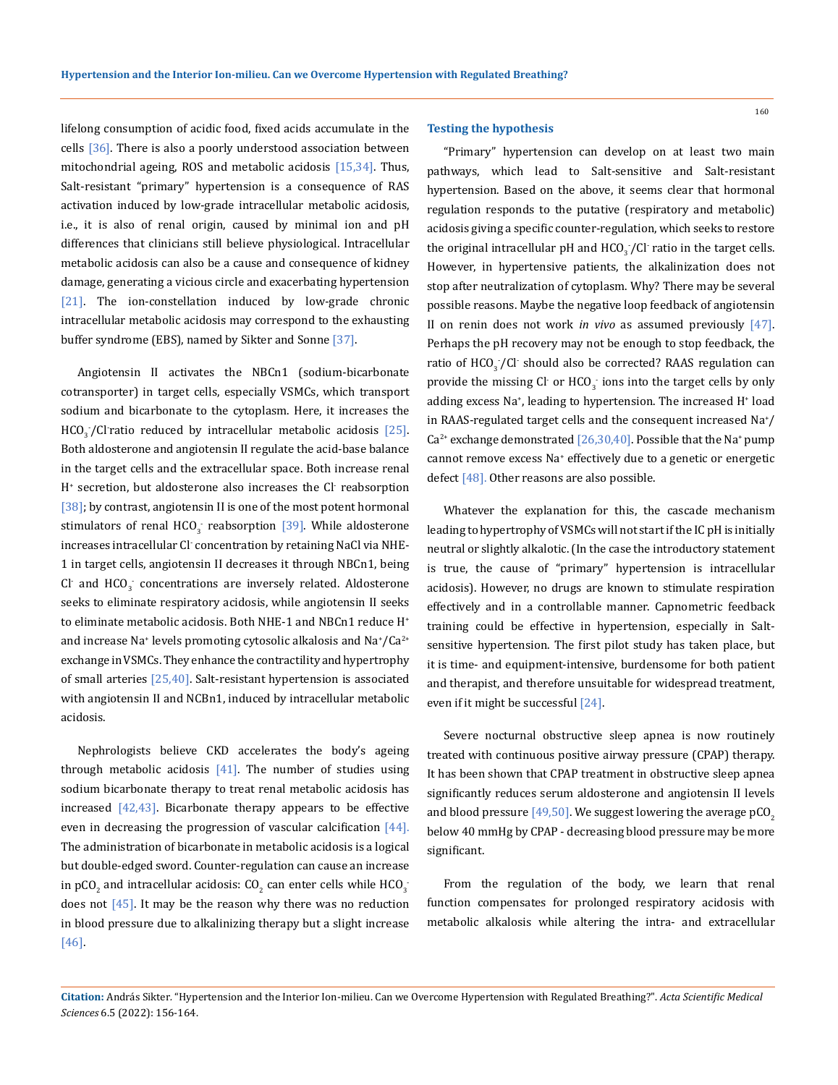lifelong consumption of acidic food, fixed acids accumulate in the cells  $[36]$ . There is also a poorly understood association between mitochondrial ageing, ROS and metabolic acidosis  $[15,34]$ . Thus, Salt-resistant "primary" hypertension is a consequence of RAS activation induced by low-grade intracellular metabolic acidosis, i.e., it is also of renal origin, caused by minimal ion and pH differences that clinicians still believe physiological. Intracellular metabolic acidosis can also be a cause and consequence of kidney damage, generating a vicious circle and exacerbating hypertension [21]. The ion-constellation induced by low-grade chronic intracellular metabolic acidosis may correspond to the exhausting buffer syndrome (EBS), named by Sikter and Sonne [37].

Angiotensin II activates the NBCn1 (sodium-bicarbonate cotransporter) in target cells, especially VSMCs, which transport sodium and bicarbonate to the cytoplasm. Here, it increases the  $HCO_{3}/C$  ratio reduced by intracellular metabolic acidosis [25]. Both aldosterone and angiotensin II regulate the acid-base balance in the target cells and the extracellular space. Both increase renal H+ secretion, but aldosterone also increases the Cl- reabsorption [38]; by contrast, angiotensin II is one of the most potent hormonal stimulators of renal  $HCO_3^-$  reabsorption [39]. While aldosterone increases intracellular Cl- concentration by retaining NaCl via NHE-1 in target cells, angiotensin II decreases it through NBCn1, being Cl and  $HCO_3^-$  concentrations are inversely related. Aldosterone seeks to eliminate respiratory acidosis, while angiotensin II seeks to eliminate metabolic acidosis. Both NHE-1 and NBCn1 reduce H<sup>+</sup> and increase Na $^*$  levels promoting cytosolic alkalosis and Na $^*/$ Ca $^{2+}$ exchange in VSMCs. They enhance the contractility and hypertrophy of small arteries [25,40]. Salt-resistant hypertension is associated with angiotensin II and NCBn1, induced by intracellular metabolic acidosis.

Nephrologists believe CKD accelerates the body's ageing through metabolic acidosis  $[41]$ . The number of studies using sodium bicarbonate therapy to treat renal metabolic acidosis has increased  $[42,43]$ . Bicarbonate therapy appears to be effective even in decreasing the progression of vascular calcification [44]. The administration of bicarbonate in metabolic acidosis is a logical but double-edged sword. Counter-regulation can cause an increase in pCO<sub>2</sub> and intracellular acidosis: CO<sub>2</sub> can enter cells while HCO<sub>3</sub><sup>-</sup> does not  $[45]$ . It may be the reason why there was no reduction in blood pressure due to alkalinizing therapy but a slight increase [46].

### **Testing the hypothesis**

"Primary" hypertension can develop on at least two main pathways, which lead to Salt-sensitive and Salt-resistant hypertension. Based on the above, it seems clear that hormonal regulation responds to the putative (respiratory and metabolic) acidosis giving a specific counter-regulation, which seeks to restore the original intracellular pH and  $HCO_{3}/Cl$  ratio in the target cells. However, in hypertensive patients, the alkalinization does not stop after neutralization of cytoplasm. Why? There may be several possible reasons. Maybe the negative loop feedback of angiotensin II on renin does not work *in vivo* as assumed previously [47]. Perhaps the pH recovery may not be enough to stop feedback, the ratio of  $\text{HCO}_3^{\bullet}$ /Cl·should also be corrected? RAAS regulation can provide the missing Cl<sup>-</sup> or HCO<sub>3</sub> ions into the target cells by only adding excess Na+ , leading to hypertension. The increased H+ load in RAAS-regulated target cells and the consequent increased Na<sup>+</sup> /  $Ca^{2+}$  exchange demonstrated [26,30,40]. Possible that the Na<sup>+</sup> pump cannot remove excess Na<sup>+</sup> effectively due to a genetic or energetic defect [48]. Other reasons are also possible.

Whatever the explanation for this, the cascade mechanism leading to hypertrophy of VSMCs will not start if the IC pH is initially neutral or slightly alkalotic. (In the case the introductory statement is true, the cause of "primary" hypertension is intracellular acidosis). However, no drugs are known to stimulate respiration effectively and in a controllable manner. Capnometric feedback training could be effective in hypertension, especially in Saltsensitive hypertension. The first pilot study has taken place, but it is time- and equipment-intensive, burdensome for both patient and therapist, and therefore unsuitable for widespread treatment, even if it might be successful [24].

Severe nocturnal obstructive sleep apnea is now routinely treated with continuous positive airway pressure (CPAP) therapy. It has been shown that CPAP treatment in obstructive sleep apnea significantly reduces serum aldosterone and angiotensin II levels and blood pressure  $[49,50]$ . We suggest lowering the average pCO<sub>2</sub> below 40 mmHg by CPAP - decreasing blood pressure may be more significant.

From the regulation of the body, we learn that renal function compensates for prolonged respiratory acidosis with metabolic alkalosis while altering the intra- and extracellular

**Citation:** András Sikter*.* "Hypertension and the Interior Ion-milieu. Can we Overcome Hypertension with Regulated Breathing?". *Acta Scientific Medical Sciences* 6.5 (2022): 156-164.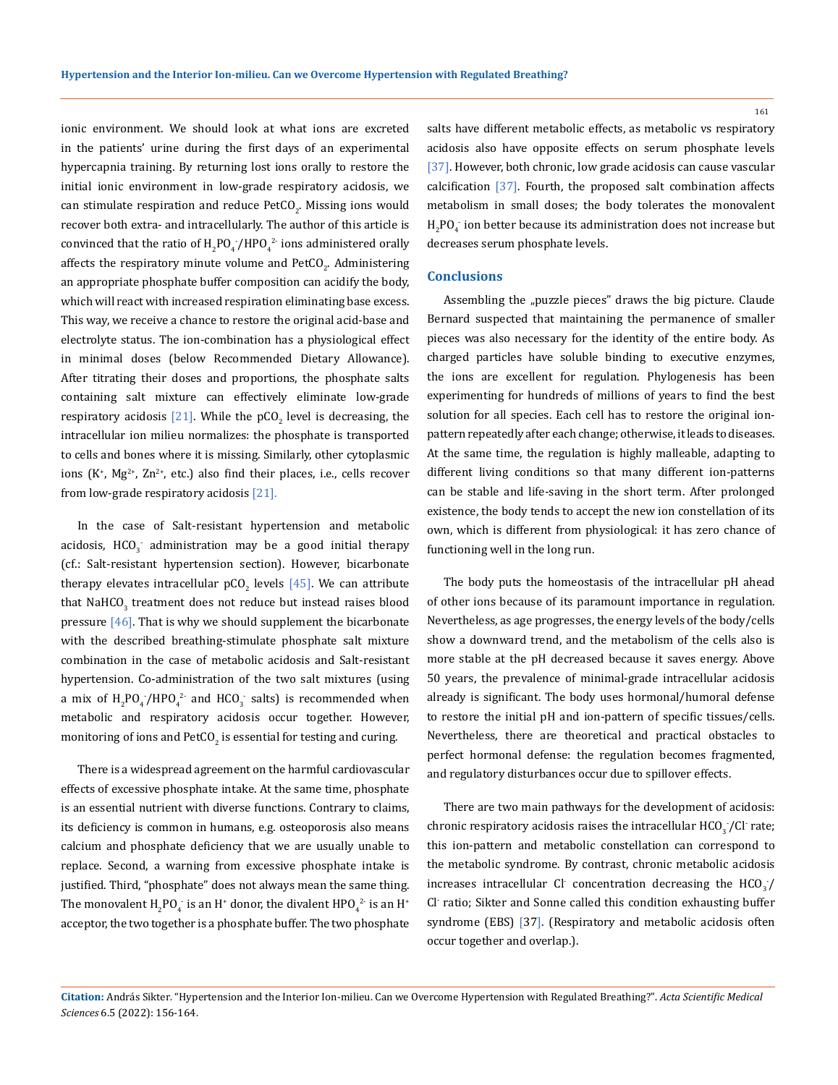ionic environment. We should look at what ions are excreted in the patients' urine during the first days of an experimental hypercapnia training. By returning lost ions orally to restore the initial ionic environment in low-grade respiratory acidosis, we can stimulate respiration and reduce  $PetCO_2$ . Missing ions would recover both extra- and intracellularly. The author of this article is convinced that the ratio of  $H_2PO_4$  /HPO<sub>4</sub><sup>2</sup> ions administered orally affects the respiratory minute volume and  $PetCO_{2}$ . Administering an appropriate phosphate buffer composition can acidify the body, which will react with increased respiration eliminating base excess. This way, we receive a chance to restore the original acid-base and electrolyte status. The ion-combination has a physiological effect in minimal doses (below Recommended Dietary Allowance). After titrating their doses and proportions, the phosphate salts containing salt mixture can effectively eliminate low-grade respiratory acidosis [21]. While the pCO<sub>2</sub> level is decreasing, the intracellular ion milieu normalizes: the phosphate is transported to cells and bones where it is missing. Similarly, other cytoplasmic ions  $(K^*, Mg^{2*}, Zn^{2*}, etc.)$  also find their places, i.e., cells recover from low-grade respiratory acidosis [21].

In the case of Salt-resistant hypertension and metabolic acidosis,  $HCO_3^-$  administration may be a good initial therapy (cf.: Salt-resistant hypertension section). However, bicarbonate therapy elevates intracellular  $pCO_2$  levels [45]. We can attribute that NaHCO $_3$  treatment does not reduce but instead raises blood pressure  $[46]$ . That is why we should supplement the bicarbonate with the described breathing-stimulate phosphate salt mixture combination in the case of metabolic acidosis and Salt-resistant hypertension. Co-administration of the two salt mixtures (using a mix of  $H_2PO_4/HPO_4^2$  and HCO<sub>3</sub> salts) is recommended when metabolic and respiratory acidosis occur together. However, monitoring of ions and  $\mathrm{PetCO}_2$  is essential for testing and curing.

There is a widespread agreement on the harmful cardiovascular effects of excessive phosphate intake. At the same time, phosphate is an essential nutrient with diverse functions. Contrary to claims, its deficiency is common in humans, e.g. osteoporosis also means calcium and phosphate deficiency that we are usually unable to replace. Second, a warning from excessive phosphate intake is justified. Third, "phosphate" does not always mean the same thing. The monovalent  $\rm H_2PO_4^-$  is an  $\rm H^*$  donor, the divalent  $\rm{HPO_4^{2-}}$  is an  $\rm{H^*}$ acceptor, the two together is a phosphate buffer. The two phosphate salts have different metabolic effects, as metabolic vs respiratory acidosis also have opposite effects on serum phosphate levels [37]. However, both chronic, low grade acidosis can cause vascular calcification [37]. Fourth, the proposed salt combination affects metabolism in small doses; the body tolerates the monovalent  $_{2}$ PO<sub>4</sub> ion better because its administration does not increase but decreases serum phosphate levels.

#### **Conclusions**

Assembling the "puzzle pieces" draws the big picture. Claude Bernard suspected that maintaining the permanence of smaller pieces was also necessary for the identity of the entire body. As charged particles have soluble binding to executive enzymes, the ions are excellent for regulation. Phylogenesis has been experimenting for hundreds of millions of years to find the best solution for all species. Each cell has to restore the original ionpattern repeatedly after each change; otherwise, it leads to diseases. At the same time, the regulation is highly malleable, adapting to different living conditions so that many different ion-patterns can be stable and life-saving in the short term. After prolonged existence, the body tends to accept the new ion constellation of its own, which is different from physiological: it has zero chance of functioning well in the long run.

The body puts the homeostasis of the intracellular pH ahead of other ions because of its paramount importance in regulation. Nevertheless, as age progresses, the energy levels of the body/cells show a downward trend, and the metabolism of the cells also is more stable at the pH decreased because it saves energy. Above 50 years, the prevalence of minimal-grade intracellular acidosis already is significant. The body uses hormonal/humoral defense to restore the initial pH and ion-pattern of specific tissues/cells. Nevertheless, there are theoretical and practical obstacles to perfect hormonal defense: the regulation becomes fragmented, and regulatory disturbances occur due to spillover effects.

There are two main pathways for the development of acidosis: chronic respiratory acidosis raises the intracellular  $\mathrm{HCO}_3^{\vphantom{3}}/\mathrm{Cl}$  rate; this ion-pattern and metabolic constellation can correspond to the metabolic syndrome. By contrast, chronic metabolic acidosis increases intracellular Cl<sup>-</sup> concentration decreasing the  $\text{HCO}_3/\text{}$ Cl- ratio; Sikter and Sonne called this condition exhausting buffer syndrome (EBS) [37]. (Respiratory and metabolic acidosis often occur together and overlap.).

**Citation:** András Sikter*.* "Hypertension and the Interior Ion-milieu. Can we Overcome Hypertension with Regulated Breathing?". *Acta Scientific Medical Sciences* 6.5 (2022): 156-164.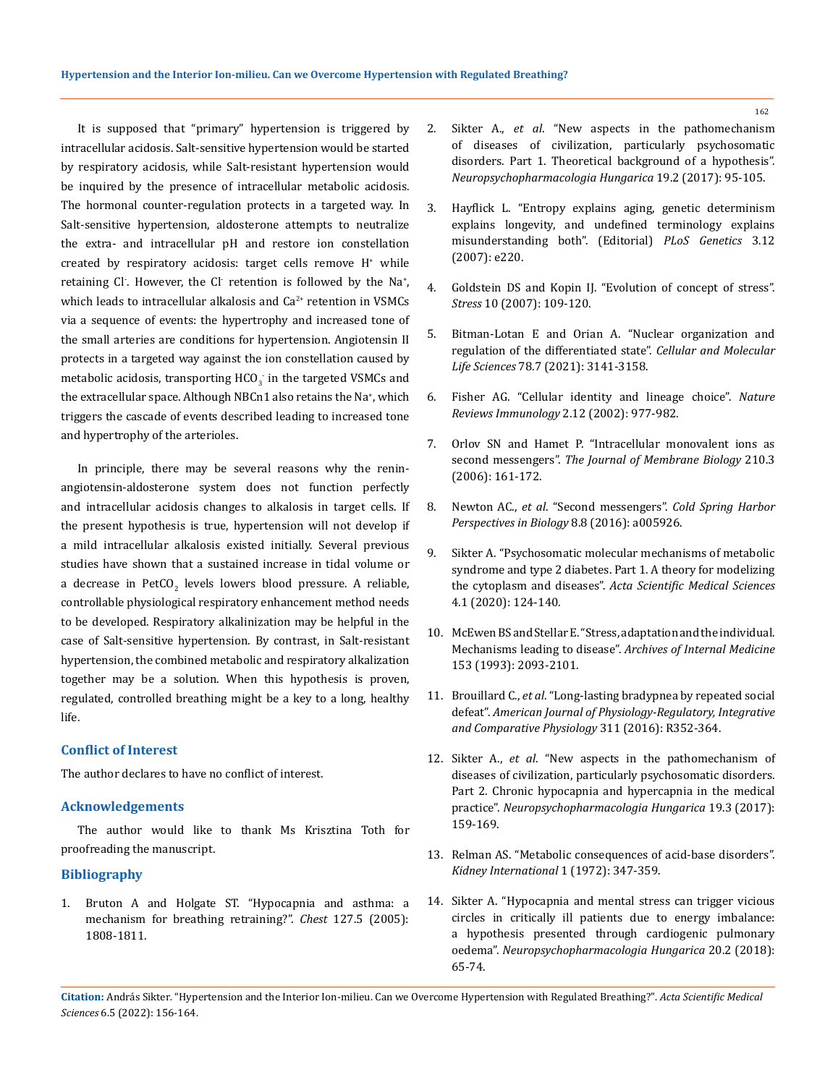It is supposed that "primary" hypertension is triggered by intracellular acidosis. Salt-sensitive hypertension would be started by respiratory acidosis, while Salt-resistant hypertension would be inquired by the presence of intracellular metabolic acidosis. The hormonal counter-regulation protects in a targeted way. In Salt-sensitive hypertension, aldosterone attempts to neutralize the extra- and intracellular pH and restore ion constellation  $c$ reated by respiratory acidosis: target cells remove  $H^*$  while retaining Cl<sup>-</sup>. However, the Cl<sup>-</sup> retention is followed by the Na<sup>+</sup>, which leads to intracellular alkalosis and Ca<sup>2+</sup> retention in VSMCs via a sequence of events: the hypertrophy and increased tone of the small arteries are conditions for hypertension. Angiotensin II protects in a targeted way against the ion constellation caused by metabolic acidosis, transporting  $HCO_3^-$  in the targeted VSMCs and the extracellular space. Although NBCn1 also retains the Na\*, which triggers the cascade of events described leading to increased tone and hypertrophy of the arterioles.

In principle, there may be several reasons why the reninangiotensin-aldosterone system does not function perfectly and intracellular acidosis changes to alkalosis in target cells. If the present hypothesis is true, hypertension will not develop if a mild intracellular alkalosis existed initially. Several previous studies have shown that a sustained increase in tidal volume or a decrease in PetCO<sub>2</sub> levels lowers blood pressure. A reliable, controllable physiological respiratory enhancement method needs to be developed. Respiratory alkalinization may be helpful in the case of Salt-sensitive hypertension. By contrast, in Salt-resistant hypertension, the combined metabolic and respiratory alkalization together may be a solution. When this hypothesis is proven, regulated, controlled breathing might be a key to a long, healthy life.

# **Conflict of Interest**

The author declares to have no conflict of interest.

# **Acknowledgements**

The author would like to thank Ms Krisztina Toth for proofreading the manuscript.

### **Bibliography**

1. [Bruton A and Holgate ST. "Hypocapnia and asthma: a](https://doi.org/10.1378/chest.127.5.1808) [mechanism for breathing retraining?".](https://doi.org/10.1378/chest.127.5.1808) *Chest* 127.5 (2005): [1808-1811.](https://doi.org/10.1378/chest.127.5.1808)

- 2. Sikter A., *et al*[. "New aspects in the pathomechanism](https://pubmed.ncbi.nlm.nih.gov/29306907/)  [of diseases of civilization, particularly psychosomatic](https://pubmed.ncbi.nlm.nih.gov/29306907/)  [disorders. Part 1. Theoretical background of a hypothesis".](https://pubmed.ncbi.nlm.nih.gov/29306907/)  *[Neuropsychopharmacologia Hungarica](https://pubmed.ncbi.nlm.nih.gov/29306907/)* 19.2 (2017): 95-105.
- 3. [Hayflick L. "Entropy explains aging, genetic determinism](https://doi.org/10.1371/journal.pgen.0030220)  [explains longevity, and undefined terminology explains](https://doi.org/10.1371/journal.pgen.0030220)  [misunderstanding both". \(Editorial\)](https://doi.org/10.1371/journal.pgen.0030220) *PLoS Genetics* 3.12 [\(2007\): e220.](https://doi.org/10.1371/journal.pgen.0030220)
- 4. [Goldstein DS and Kopin IJ. "Evolution of concept of stress".](https://doi.org/10.1080/10253890701288935)  *Stress* [10 \(2007\): 109-120.](https://doi.org/10.1080/10253890701288935)
- 5. [Bitman-Lotan E and Orian A. "Nuclear organization and](https://doi.org/10.1007/s00018-020-03731-4)  [regulation of the differentiated state".](https://doi.org/10.1007/s00018-020-03731-4) *Cellular and Molecular Life Sciences* [78.7 \(2021\): 3141-3158.](https://doi.org/10.1007/s00018-020-03731-4)
- 6. [Fisher AG. "Cellular identity and lineage choice".](https://doi.org/10.1038/nri958) *Nature [Reviews Immunology](https://doi.org/10.1038/nri958)* 2.12 (2002): 977-982.
- 7. [Orlov SN and Hamet P. "Intracellular monovalent ions as](https://doi.org/10.1007/s00232-006-0857-9)  second messengers". *[The Journal of Membrane Biology](https://doi.org/10.1007/s00232-006-0857-9)* 210.3 [\(2006\): 161-172.](https://doi.org/10.1007/s00232-006-0857-9)
- 8. Newton AC., *et al*. "Second messengers". *[Cold Spring Harbor](https://doi.org/%20DOI:%2010.1101/cshperspect.a005926)  [Perspectives in Biology](https://doi.org/%20DOI:%2010.1101/cshperspect.a005926)* 8.8 (2016): a005926.
- 9. [Sikter A. "Psychosomatic molecular mechanisms of metabolic](https://doi.org/10.31080/ASMS.2020.04.0509)  [syndrome and type 2 diabetes. Part 1. A theory for modelizing](https://doi.org/10.31080/ASMS.2020.04.0509)  the cytoplasm and diseases". *[Acta Scientific Medical Sciences](https://doi.org/10.31080/ASMS.2020.04.0509)* [4.1 \(2020\): 124-140.](https://doi.org/10.31080/ASMS.2020.04.0509)
- 10. [McEwen BS and Stellar E. "Stress, adaptation and the individual.](https://pubmed.ncbi.nlm.nih.gov/8379800/)  Mechanisms leading to disease". *[Archives of Internal Medicine](https://pubmed.ncbi.nlm.nih.gov/8379800/)*  [153 \(1993\): 2093-2101.](https://pubmed.ncbi.nlm.nih.gov/8379800/)
- 11. Brouillard C., *et al*[. "Long-lasting bradypnea by repeated social](https://doi.org/10.1152/ajpregu.00021.2016)  defeat". *[American Journal of Physiology-Regulatory, Integrative](https://doi.org/10.1152/ajpregu.00021.2016)  [and Comparative Physiology](https://doi.org/10.1152/ajpregu.00021.2016)* 311 (2016): R352-364.
- 12. Sikter A., *et al*[. "New aspects in the pathomechanism of](https://pubmed.ncbi.nlm.nih.gov/29306907/)  [diseases of civilization, particularly psychosomatic disorders.](https://pubmed.ncbi.nlm.nih.gov/29306907/)  [Part 2. Chronic hypocapnia and hypercapnia in the medical](https://pubmed.ncbi.nlm.nih.gov/29306907/)  practice". *[Neuropsychopharmacologia Hungarica](https://pubmed.ncbi.nlm.nih.gov/29306907/)* 19.3 (2017): [159-169.](https://pubmed.ncbi.nlm.nih.gov/29306907/)
- 13. [Relman AS. "Metabolic consequences of acid-base disorders".](https://doi.org/10.1038/ki.1972.46)  *[Kidney International](https://doi.org/10.1038/ki.1972.46)* 1 (1972): 347-359.
- 14. [Sikter A. "Hypocapnia and mental stress can trigger vicious](https://pubmed.ncbi.nlm.nih.gov/30131453/)  [circles in critically ill patients due to energy imbalance:](https://pubmed.ncbi.nlm.nih.gov/30131453/)  [a hypothesis presented through cardiogenic pulmonary](https://pubmed.ncbi.nlm.nih.gov/30131453/)  oedema". *[Neuropsychopharmacologia Hungarica](https://pubmed.ncbi.nlm.nih.gov/30131453/)* 20.2 (2018): [65-74.](https://pubmed.ncbi.nlm.nih.gov/30131453/)

**Citation:** András Sikter*.* "Hypertension and the Interior Ion-milieu. Can we Overcome Hypertension with Regulated Breathing?". *Acta Scientific Medical Sciences* 6.5 (2022): 156-164.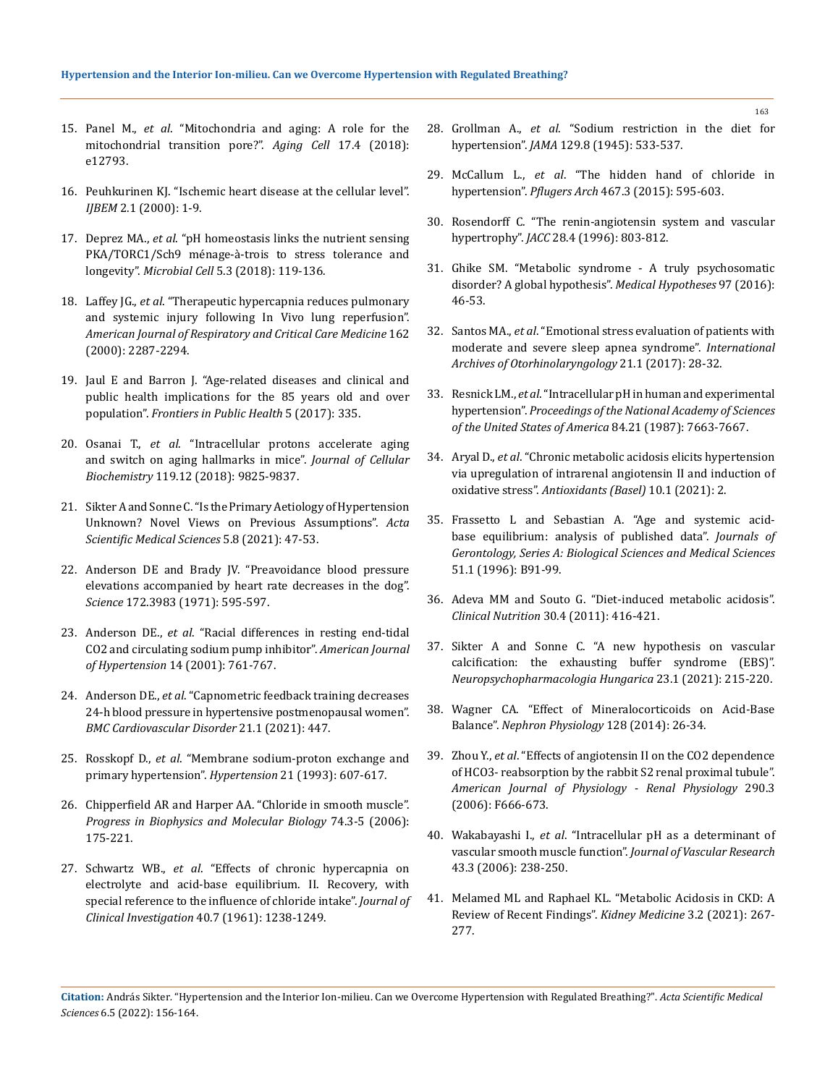- 15. Panel M., *et al*[. "Mitochondria and aging: A role for the](https://doi.org/10.1111/acel.12793)  [mitochondrial transition pore?".](https://doi.org/10.1111/acel.12793) *Aging Cell* 17.4 (2018): [e12793.](https://doi.org/10.1111/acel.12793)
- 16. Peuhkurinen KJ. "Ischemic heart disease at the cellular level". *IJBEM* 2.1 (2000): 1-9.
- 17. Deprez MA., *et al*[. "pH homeostasis links the nutrient sensing](https://doi.org/10.15698/mic2018.03.618)  [PKA/TORC1/Sch9 ménage-à-trois to stress tolerance and](https://doi.org/10.15698/mic2018.03.618)  longevity". *Microbial Cell* [5.3 \(2018\): 119-136.](https://doi.org/10.15698/mic2018.03.618)
- 18. Laffey JG., *et al*[. "Therapeutic hypercapnia reduces pulmonary](https://doi.org/10.1164/ajrccm.162.6.2003066)  [and systemic injury following In Vivo lung reperfusion".](https://doi.org/10.1164/ajrccm.162.6.2003066)  *[American Journal of Respiratory and Critical Care Medicine](https://doi.org/10.1164/ajrccm.162.6.2003066)* 162 [\(2000\): 2287-2294.](https://doi.org/10.1164/ajrccm.162.6.2003066)
- 19. [Jaul E and Barron J. "Age-related diseases and clinical and](https://doi.org/10.3389/fpubh.2017.00335)  [public health implications for the 85 years old and over](https://doi.org/10.3389/fpubh.2017.00335)  population". *[Frontiers in Public Health](https://doi.org/10.3389/fpubh.2017.00335)* 5 (2017): 335.
- 20. Osanai T., *et al*[. "Intracellular protons accelerate aging](https://doi.org/10.1002/jcb.27302)  [and switch on aging hallmarks in mice".](https://doi.org/10.1002/jcb.27302) *Journal of Cellular Biochemistry* [119.12 \(2018\): 9825-9837.](https://doi.org/10.1002/jcb.27302)
- 21. [Sikter A and Sonne C. "Is the Primary Aetiology of Hypertension](https://doi.org/10.31080/ASMS.2020.05.0974)  [Unknown? Novel Views on Previous Assumptions".](https://doi.org/10.31080/ASMS.2020.05.0974) *Acta [Scientific Medical Sciences](https://doi.org/10.31080/ASMS.2020.05.0974)* 5.8 (2021): 47-53.
- 22. [Anderson DE and Brady JV. "Preavoidance blood pressure](https://doi.org/10.1126/science.172.3983.595)  [elevations accompanied by heart rate decreases in the dog".](https://doi.org/10.1126/science.172.3983.595)  *Science* [172.3983 \(1971\): 595-597.](https://doi.org/10.1126/science.172.3983.595)
- 23. Anderson DE., *et al*[. "Racial differences in resting end-tidal](https://doi.org/10.1016/s0895-7061(01)02163-x)  [CO2 and circulating sodium pump inhibitor".](https://doi.org/10.1016/s0895-7061(01)02163-x) *American Journal of Hypertension* [14 \(2001\): 761-767.](https://doi.org/10.1016/s0895-7061(01)02163-x)
- 24. Anderson DE., *et al*[. "Capnometric feedback training decreases](https://doi.org/10.1186/s12872-021-02240-x)  [24-h blood pressure in hypertensive postmenopausal women".](https://doi.org/10.1186/s12872-021-02240-x)  *[BMC Cardiovascular Disorder](https://doi.org/10.1186/s12872-021-02240-x)* 21.1 (2021): 447.
- 25. Rosskopf D., *et al*[. "Membrane sodium-proton exchange and](https://doi.org/10.1161/01.hyp.21.5.607)  [primary hypertension".](https://doi.org/10.1161/01.hyp.21.5.607) *Hypertension* 21 (1993): 607-617.
- 26. [Chipperfield AR and Harper AA. "Chloride in smooth muscle".](https://doi.org/10.1016/s0079-6107(00)00024-9)  *[Progress in Biophysics and Molecular Biology](https://doi.org/10.1016/s0079-6107(00)00024-9)* 74.3-5 (2006): [175-221.](https://doi.org/10.1016/s0079-6107(00)00024-9)
- 27. Schwartz WB., *et al*[. "Effects of chronic hypercapnia on](https://doi.org/10.1172/JCI104354)  [electrolyte and acid-base equilibrium. II. Recovery, with](https://doi.org/10.1172/JCI104354)  [special reference to the influence of chloride intake".](https://doi.org/10.1172/JCI104354) *Journal of [Clinical Investigation](https://doi.org/10.1172/JCI104354)* 40.7 (1961): 1238-1249.
- 28. Grollman A., *et al*[. "Sodium restriction in the diet for](https://jamanetwork.com/journals/jama/article-abstract/276238)  hypertension". *JAMA* [129.8 \(1945\): 533-537.](https://jamanetwork.com/journals/jama/article-abstract/276238)
- 29. McCallum L., *et al*[. "The hidden hand of chloride in](https://doi.org/10.1007/s00424-015-1690-8)  hypertension". *Pflugers Arch* [467.3 \(2015\): 595-603.](https://doi.org/10.1007/s00424-015-1690-8)
- 30. [Rosendorff C. "The renin-angiotensin system and vascular](https://doi.org/10.1016/s0735-1097(96)00251-3)  hypertrophy". *JACC* [28.4 \(1996\): 803-812.](https://doi.org/10.1016/s0735-1097(96)00251-3)
- 31. [Ghike SM. "Metabolic syndrome A truly psychosomatic](https://doi.org/10.1016/j.mehy.2016.10.015)  [disorder? A global hypothesis".](https://doi.org/10.1016/j.mehy.2016.10.015) *Medical Hypotheses* 97 (2016): [46-53.](https://doi.org/10.1016/j.mehy.2016.10.015)
- 32. Santos MA., *et al*[. "Emotional stress evaluation of patients with](https://doi.org/10.1055/s-0036-1586251)  [moderate and severe sleep apnea syndrome".](https://doi.org/10.1055/s-0036-1586251) *International [Archives of Otorhinolaryngology](https://doi.org/10.1055/s-0036-1586251)* 21.1 (2017): 28-32.
- 33. Resnick LM., *et al*[. "Intracellular pH in human and experimental](https://doi.org/10.1073/pnas.84.21.7663)  hypertension". *[Proceedings of the National Academy of Sciences](https://doi.org/10.1073/pnas.84.21.7663)  [of the United States of America](https://doi.org/10.1073/pnas.84.21.7663)* 84.21 (1987): 7663-7667.
- 34. Aryal D., *et al*[. "Chronic metabolic acidosis elicits hypertension](https://doi.org/10.3390/antiox10010002)  [via upregulation of intrarenal angiotensin II and induction of](https://doi.org/10.3390/antiox10010002)  oxidative stress". *[Antioxidants \(Basel\)](https://doi.org/10.3390/antiox10010002)* 10.1 (2021): 2.
- 35. [Frassetto L and Sebastian A. "Age and systemic acid](https://doi.org/10.1093/gerona/51a.1.b91)[base equilibrium: analysis of published data".](https://doi.org/10.1093/gerona/51a.1.b91) *Journals of [Gerontology, Series A: Biological Sciences and Medical Sciences](https://doi.org/10.1093/gerona/51a.1.b91)*  [51.1 \(1996\): B91-99.](https://doi.org/10.1093/gerona/51a.1.b91)
- 36. [Adeva MM and Souto G. "Diet-induced metabolic acidosis".](https://doi.org/10.1016/j.clnu.2011.03.008)  *Clinical Nutrition* [30.4 \(2011\): 416-421.](https://doi.org/10.1016/j.clnu.2011.03.008)
- 37. [Sikter A and Sonne C. "A new hypothesis on vascular](https://www.researchgate.net/publication/350788103_A_new_hypothesis_on_vascular_calcification_the_exhausting_buffer_syndrome_EBS)  [calcification: the exhausting buffer syndrome \(EBS\)".](https://www.researchgate.net/publication/350788103_A_new_hypothesis_on_vascular_calcification_the_exhausting_buffer_syndrome_EBS)  *[Neuropsychopharmacologia Hungarica](https://www.researchgate.net/publication/350788103_A_new_hypothesis_on_vascular_calcification_the_exhausting_buffer_syndrome_EBS)* 23.1 (2021): 215-220.
- 38. [Wagner CA. "Effect of Mineralocorticoids on Acid-Base](https://doi.org/10.1159/000368266)  Balance". *[Nephron Physiology](https://doi.org/10.1159/000368266)* 128 (2014): 26-34.
- 39. Zhou Y., *et al*[. "Effects of angiotensin II on the CO2 dependence](https://doi.org/10.1152/ajprenal.00287.2005)  [of HCO3- reabsorption by the rabbit S2 renal proximal tubule".](https://doi.org/10.1152/ajprenal.00287.2005)  *[American Journal of Physiology - Renal Physiology](https://doi.org/10.1152/ajprenal.00287.2005)* 290.3 [\(2006\): F666-673.](https://doi.org/10.1152/ajprenal.00287.2005)
- 40. Wakabayashi I., *et al*[. "Intracellular pH as a determinant of](https://doi.org/10.1159/000091235)  [vascular smooth muscle function".](https://doi.org/10.1159/000091235) *Journal of Vascular Research* [43.3 \(2006\): 238-250.](https://doi.org/10.1159/000091235)
- 41. [Melamed ML and Raphael KL. "Metabolic Acidosis in CKD: A](https://doi.org/10.1016/j.xkme.2020.12.006)  [Review of Recent Findings".](https://doi.org/10.1016/j.xkme.2020.12.006) *Kidney Medicine* 3.2 (2021): 267- [277.](https://doi.org/10.1016/j.xkme.2020.12.006)

**Citation:** András Sikter*.* "Hypertension and the Interior Ion-milieu. Can we Overcome Hypertension with Regulated Breathing?". *Acta Scientific Medical Sciences* 6.5 (2022): 156-164.